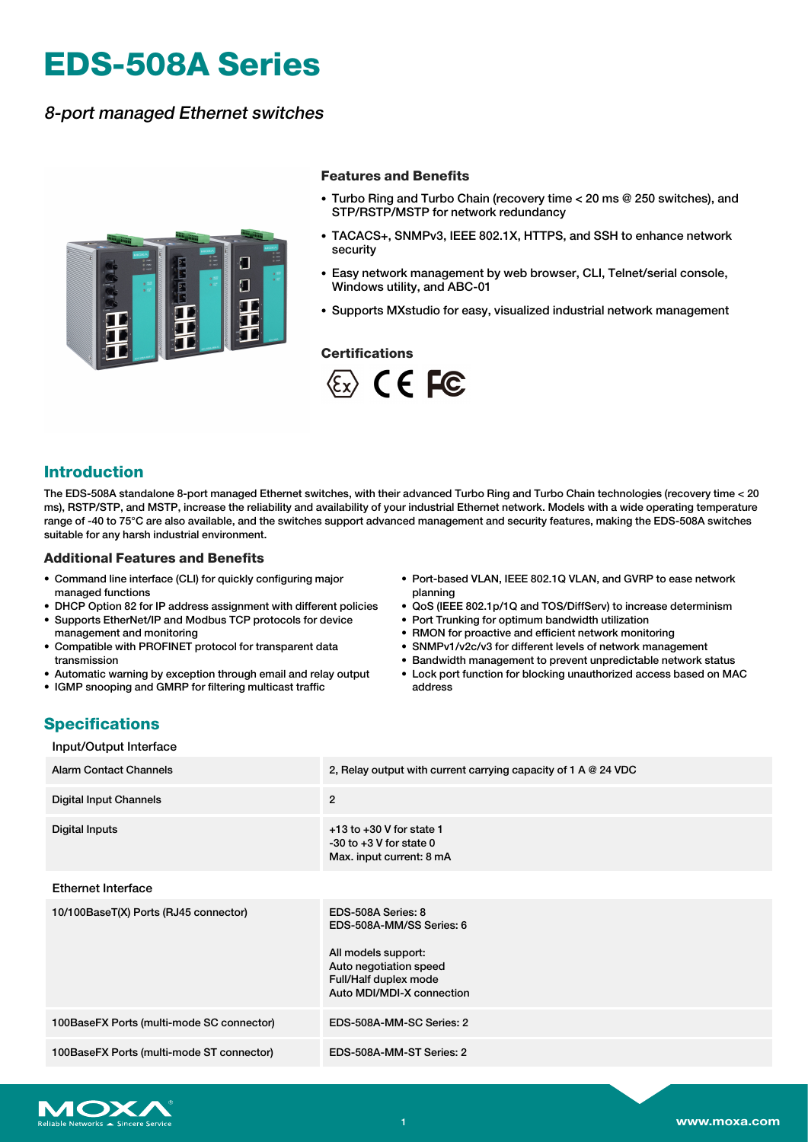# **EDS-508A Series**

## 8-port managed Ethernet switches



#### **Features and Benefits**

- Turbo Ring and Turbo Chain (recovery time < 20 ms @ 250 switches), and STP/RSTP/MSTP for network redundancy
- TACACS+, SNMPv3, IEEE 802.1X, HTTPS, and SSH to enhance network security
- Easy network management by web browser, CLI, Telnet/serial console, Windows utility, and ABC-01
- Supports MXstudio for easy, visualized industrial network management

#### **Certifications**



## **Introduction**

The EDS-508A standalone 8-port managed Ethernet switches, with their advanced Turbo Ring and Turbo Chain technologies (recovery time < 20 ms), RSTP/STP, and MSTP, increase the reliability and availability of your industrial Ethernet network. Models with a wide operating temperature range of -40 to 75°C are also available, and the switches support advanced management and security features, making the EDS-508A switches suitable for any harsh industrial environment.

#### **Additional Features and Benefits**

- Command line interface (CLI) for quickly configuring major managed functions
- DHCP Option 82 for IP address assignment with different policies
- Supports EtherNet/IP and Modbus TCP protocols for device management and monitoring
- Compatible with PROFINET protocol for transparent data transmission
- Automatic warning by exception through email and relay output
- IGMP snooping and GMRP for filtering multicast traffic
- Port-based VLAN, IEEE 802.1Q VLAN, and GVRP to ease network planning
- QoS (IEEE 802.1p/1Q and TOS/DiffServ) to increase determinism
- Port Trunking for optimum bandwidth utilization
- RMON for proactive and efficient network monitoring
- SNMPv1/v2c/v3 for different levels of network management
- Bandwidth management to prevent unpredictable network status
- Lock port function for blocking unauthorized access based on MAC address

## **Specifications**

| Input/Output Interface                    |                                                                                                                                                       |
|-------------------------------------------|-------------------------------------------------------------------------------------------------------------------------------------------------------|
| <b>Alarm Contact Channels</b>             | 2, Relay output with current carrying capacity of 1 A $@$ 24 VDC                                                                                      |
| <b>Digital Input Channels</b>             | $\overline{2}$                                                                                                                                        |
| <b>Digital Inputs</b>                     | $+13$ to $+30$ V for state 1<br>$-30$ to $+3$ V for state 0<br>Max. input current: 8 mA                                                               |
| <b>Ethernet Interface</b>                 |                                                                                                                                                       |
| 10/100BaseT(X) Ports (RJ45 connector)     | EDS-508A Series: 8<br>EDS-508A-MM/SS Series: 6<br>All models support:<br>Auto negotiation speed<br>Full/Half duplex mode<br>Auto MDI/MDI-X connection |
| 100BaseFX Ports (multi-mode SC connector) | EDS-508A-MM-SC Series: 2                                                                                                                              |
| 100BaseFX Ports (multi-mode ST connector) | EDS-508A-MM-ST Series: 2                                                                                                                              |

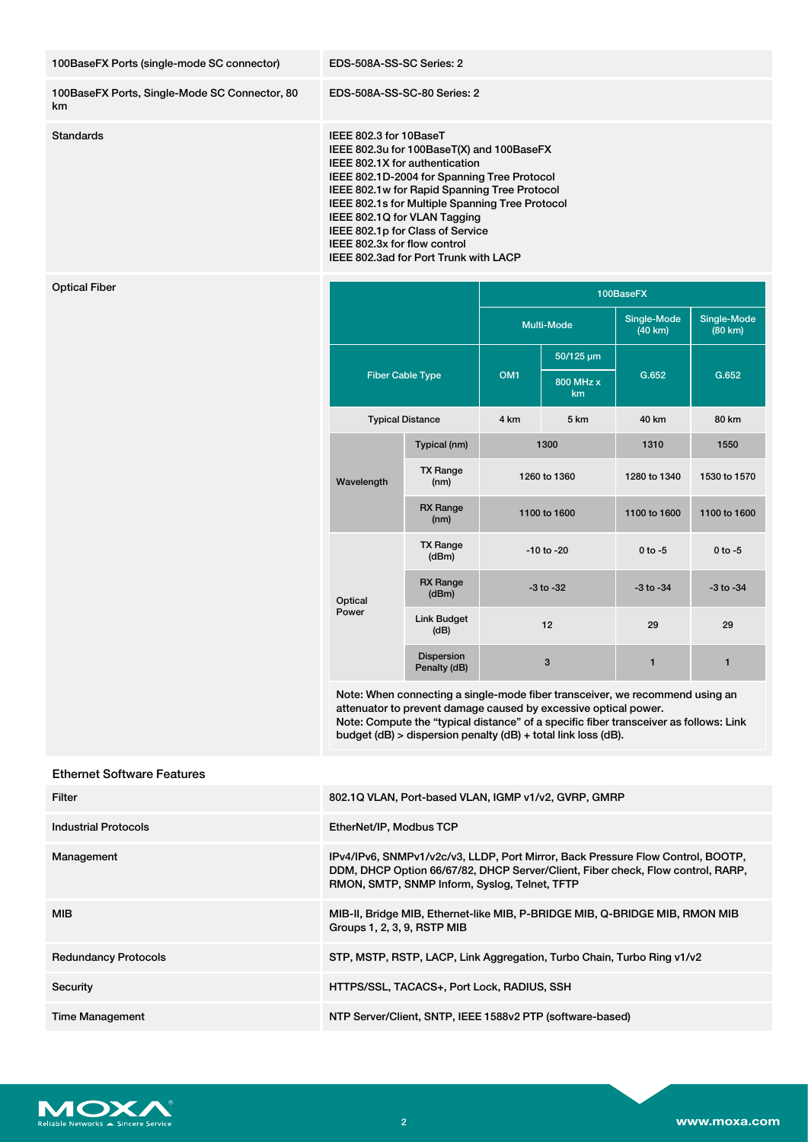| 100BaseFX Ports (single-mode SC connector)          | EDS-508A-SS-SC Series: 2                                                                                                                                                                                                                                                                                                                                                                             |  |                   |                        |                        |
|-----------------------------------------------------|------------------------------------------------------------------------------------------------------------------------------------------------------------------------------------------------------------------------------------------------------------------------------------------------------------------------------------------------------------------------------------------------------|--|-------------------|------------------------|------------------------|
| 100BaseFX Ports, Single-Mode SC Connector, 80<br>km | EDS-508A-SS-SC-80 Series: 2                                                                                                                                                                                                                                                                                                                                                                          |  |                   |                        |                        |
| <b>Standards</b>                                    | IEEE 802.3 for 10BaseT<br>IEEE 802.3u for 100BaseT(X) and 100BaseFX<br>IEEE 802.1X for authentication<br>IEEE 802.1D-2004 for Spanning Tree Protocol<br>IEEE 802.1w for Rapid Spanning Tree Protocol<br>IEEE 802.1s for Multiple Spanning Tree Protocol<br>IEEE 802.1Q for VLAN Tagging<br>IEEE 802.1p for Class of Service<br>IEEE 802.3x for flow control<br>IEEE 802.3ad for Port Trunk with LACP |  |                   |                        |                        |
| <b>Optical Fiber</b>                                |                                                                                                                                                                                                                                                                                                                                                                                                      |  |                   | 100BaseFX              |                        |
|                                                     |                                                                                                                                                                                                                                                                                                                                                                                                      |  | <b>Multi-Mode</b> | Single-Mode<br>(40 km) | Single-Mode<br>(80 km) |

|                         |                            | <b>Multi-Mode</b> |                 | Single-Mode<br>(40 km) | Single-Mode<br>(80 km) |
|-------------------------|----------------------------|-------------------|-----------------|------------------------|------------------------|
| <b>Fiber Cable Type</b> |                            |                   | 50/125 µm       |                        |                        |
|                         |                            | OM <sub>1</sub>   | 800 MHz x<br>km | G.652                  | G.652                  |
| <b>Typical Distance</b> |                            | 4 km              | 5 km            | 40 km                  | 80 km                  |
|                         | Typical (nm)               | 1300              |                 | 1310                   | 1550                   |
| Wavelength              | <b>TX Range</b><br>(nm)    | 1260 to 1360      |                 | 1280 to 1340           | 1530 to 1570           |
|                         | <b>RX</b> Range<br>(nm)    | 1100 to 1600      |                 | 1100 to 1600           | 1100 to 1600           |
|                         | <b>TX Range</b><br>(dBm)   | $-10$ to $-20$    |                 | $0$ to $-5$            | $0$ to $-5$            |
| Optical<br>Power        | <b>RX</b> Range<br>(dBm)   |                   | $-3$ to $-32$   | $-3$ to $-34$          | $-3$ to $-34$          |
|                         | <b>Link Budget</b><br>(dB) | 12                |                 | 29                     | 29                     |
|                         | Dispersion<br>Penalty (dB) | 3                 |                 | 1                      | 1                      |

Note: When connecting a single-mode fiber transceiver, we recommend using an attenuator to prevent damage caused by excessive optical power. Note: Compute the "typical distance" of a specific fiber transceiver as follows: Link budget (dB) > dispersion penalty (dB) + total link loss (dB).

### Ethernet Software Features

| Filter                      | 802.1Q VLAN, Port-based VLAN, IGMP v1/v2, GVRP, GMRP                                                                                                                                                                |
|-----------------------------|---------------------------------------------------------------------------------------------------------------------------------------------------------------------------------------------------------------------|
| <b>Industrial Protocols</b> | EtherNet/IP, Modbus TCP                                                                                                                                                                                             |
| Management                  | IPv4/IPv6, SNMPv1/v2c/v3, LLDP, Port Mirror, Back Pressure Flow Control, BOOTP,<br>DDM, DHCP Option 66/67/82, DHCP Server/Client, Fiber check, Flow control, RARP,<br>RMON, SMTP, SNMP Inform, Syslog, Telnet, TFTP |
| <b>MIB</b>                  | MIB-II, Bridge MIB, Ethernet-like MIB, P-BRIDGE MIB, Q-BRIDGE MIB, RMON MIB<br>Groups 1, 2, 3, 9, RSTP MIB                                                                                                          |
| <b>Redundancy Protocols</b> | STP, MSTP, RSTP, LACP, Link Aggregation, Turbo Chain, Turbo Ring v1/v2                                                                                                                                              |
| Security                    | HTTPS/SSL, TACACS+, Port Lock, RADIUS, SSH                                                                                                                                                                          |
| <b>Time Management</b>      | NTP Server/Client, SNTP, IEEE 1588v2 PTP (software-based)                                                                                                                                                           |

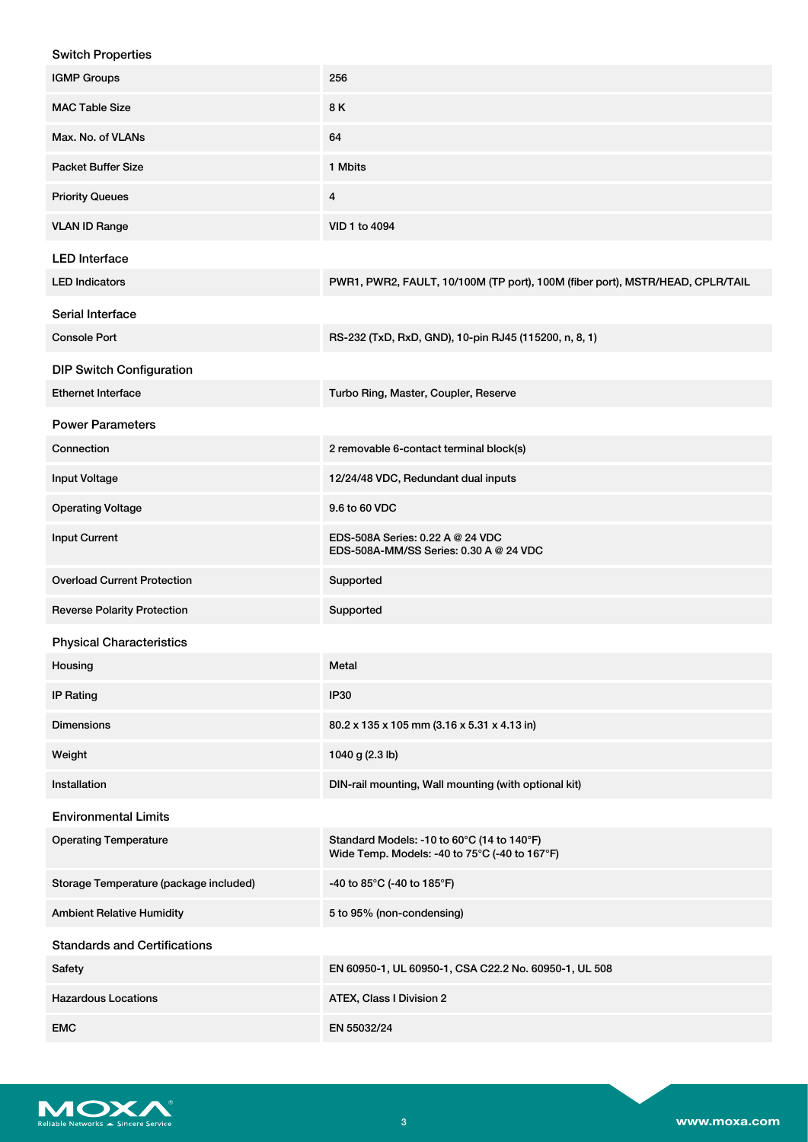| <b>Switch Properties</b>               |                                                                                             |
|----------------------------------------|---------------------------------------------------------------------------------------------|
| <b>IGMP Groups</b>                     | 256                                                                                         |
| <b>MAC Table Size</b>                  | 8K                                                                                          |
| Max. No. of VLANs                      | 64                                                                                          |
| <b>Packet Buffer Size</b>              | 1 Mbits                                                                                     |
| <b>Priority Queues</b>                 | $\overline{4}$                                                                              |
| <b>VLAN ID Range</b>                   | VID 1 to 4094                                                                               |
| <b>LED</b> Interface                   |                                                                                             |
| <b>LED Indicators</b>                  | PWR1, PWR2, FAULT, 10/100M (TP port), 100M (fiber port), MSTR/HEAD, CPLR/TAIL               |
| Serial Interface                       |                                                                                             |
| <b>Console Port</b>                    | RS-232 (TxD, RxD, GND), 10-pin RJ45 (115200, n, 8, 1)                                       |
| <b>DIP Switch Configuration</b>        |                                                                                             |
| <b>Ethernet Interface</b>              | Turbo Ring, Master, Coupler, Reserve                                                        |
| <b>Power Parameters</b>                |                                                                                             |
| Connection                             | 2 removable 6-contact terminal block(s)                                                     |
| <b>Input Voltage</b>                   | 12/24/48 VDC, Redundant dual inputs                                                         |
| <b>Operating Voltage</b>               | 9.6 to 60 VDC                                                                               |
| <b>Input Current</b>                   | EDS-508A Series: 0.22 A @ 24 VDC<br>EDS-508A-MM/SS Series: 0.30 A @ 24 VDC                  |
| <b>Overload Current Protection</b>     | Supported                                                                                   |
| <b>Reverse Polarity Protection</b>     | Supported                                                                                   |
| <b>Physical Characteristics</b>        |                                                                                             |
| Housing                                | Metal                                                                                       |
| <b>IP Rating</b>                       | <b>IP30</b>                                                                                 |
| <b>Dimensions</b>                      | 80.2 x 135 x 105 mm (3.16 x 5.31 x 4.13 in)                                                 |
| Weight                                 | 1040 g (2.3 lb)                                                                             |
| Installation                           | DIN-rail mounting, Wall mounting (with optional kit)                                        |
| <b>Environmental Limits</b>            |                                                                                             |
| <b>Operating Temperature</b>           | Standard Models: -10 to 60°C (14 to 140°F)<br>Wide Temp. Models: -40 to 75°C (-40 to 167°F) |
| Storage Temperature (package included) | -40 to 85°C (-40 to 185°F)                                                                  |
| <b>Ambient Relative Humidity</b>       | 5 to 95% (non-condensing)                                                                   |
| <b>Standards and Certifications</b>    |                                                                                             |
| Safety                                 | EN 60950-1, UL 60950-1, CSA C22.2 No. 60950-1, UL 508                                       |
| <b>Hazardous Locations</b>             | ATEX, Class I Division 2                                                                    |
| <b>EMC</b>                             | EN 55032/24                                                                                 |

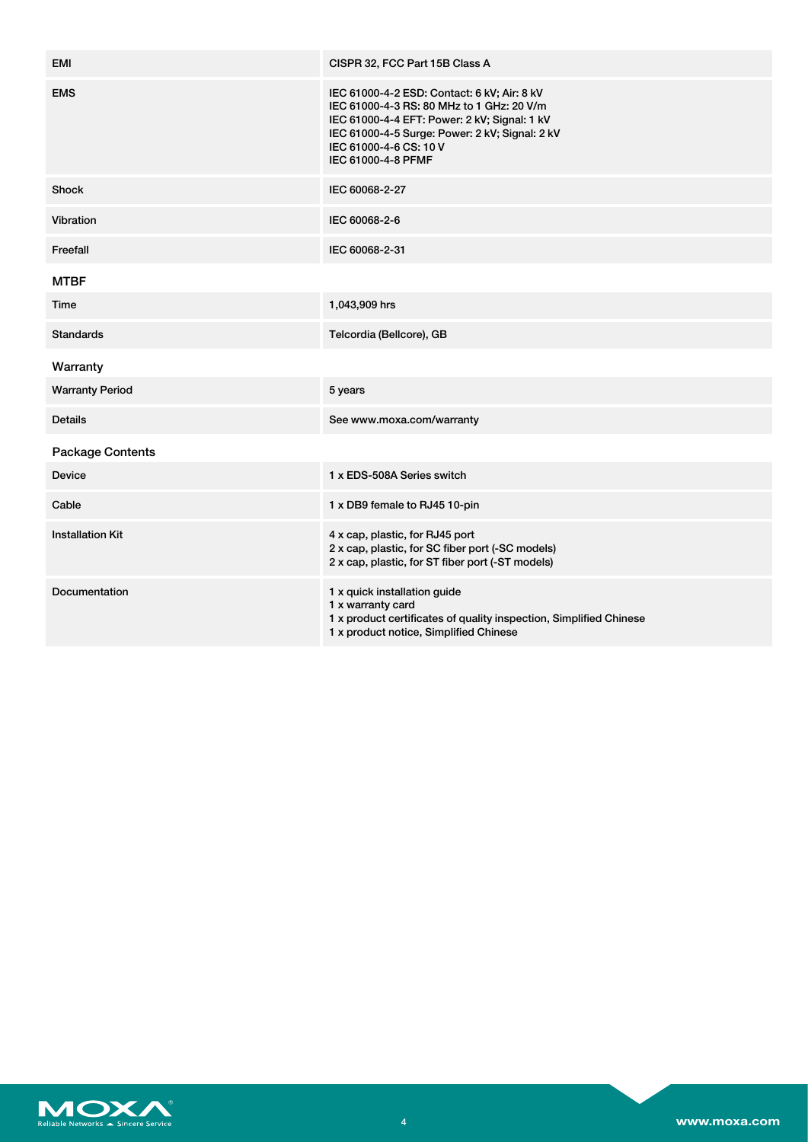| EMI                     | CISPR 32, FCC Part 15B Class A                                                                                                                                                                                                             |
|-------------------------|--------------------------------------------------------------------------------------------------------------------------------------------------------------------------------------------------------------------------------------------|
| <b>EMS</b>              | IEC 61000-4-2 ESD: Contact: 6 kV; Air: 8 kV<br>IEC 61000-4-3 RS: 80 MHz to 1 GHz: 20 V/m<br>IEC 61000-4-4 EFT: Power: 2 kV; Signal: 1 kV<br>IEC 61000-4-5 Surge: Power: 2 kV; Signal: 2 kV<br>IEC 61000-4-6 CS: 10 V<br>IEC 61000-4-8 PFMF |
| <b>Shock</b>            | IEC 60068-2-27                                                                                                                                                                                                                             |
| Vibration               | IEC 60068-2-6                                                                                                                                                                                                                              |
| Freefall                | IEC 60068-2-31                                                                                                                                                                                                                             |
| <b>MTBF</b>             |                                                                                                                                                                                                                                            |
| Time                    | 1,043,909 hrs                                                                                                                                                                                                                              |
| <b>Standards</b>        | Telcordia (Bellcore), GB                                                                                                                                                                                                                   |
| Warranty                |                                                                                                                                                                                                                                            |
| <b>Warranty Period</b>  | 5 years                                                                                                                                                                                                                                    |
| <b>Details</b>          | See www.moxa.com/warranty                                                                                                                                                                                                                  |
| <b>Package Contents</b> |                                                                                                                                                                                                                                            |
| <b>Device</b>           | 1 x EDS-508A Series switch                                                                                                                                                                                                                 |
| Cable                   | 1 x DB9 female to RJ45 10-pin                                                                                                                                                                                                              |
| <b>Installation Kit</b> | 4 x cap, plastic, for RJ45 port<br>2 x cap, plastic, for SC fiber port (-SC models)<br>2 x cap, plastic, for ST fiber port (-ST models)                                                                                                    |
| Documentation           | 1 x quick installation guide<br>1 x warranty card<br>1 x product certificates of quality inspection, Simplified Chinese<br>1 x product notice, Simplified Chinese                                                                          |

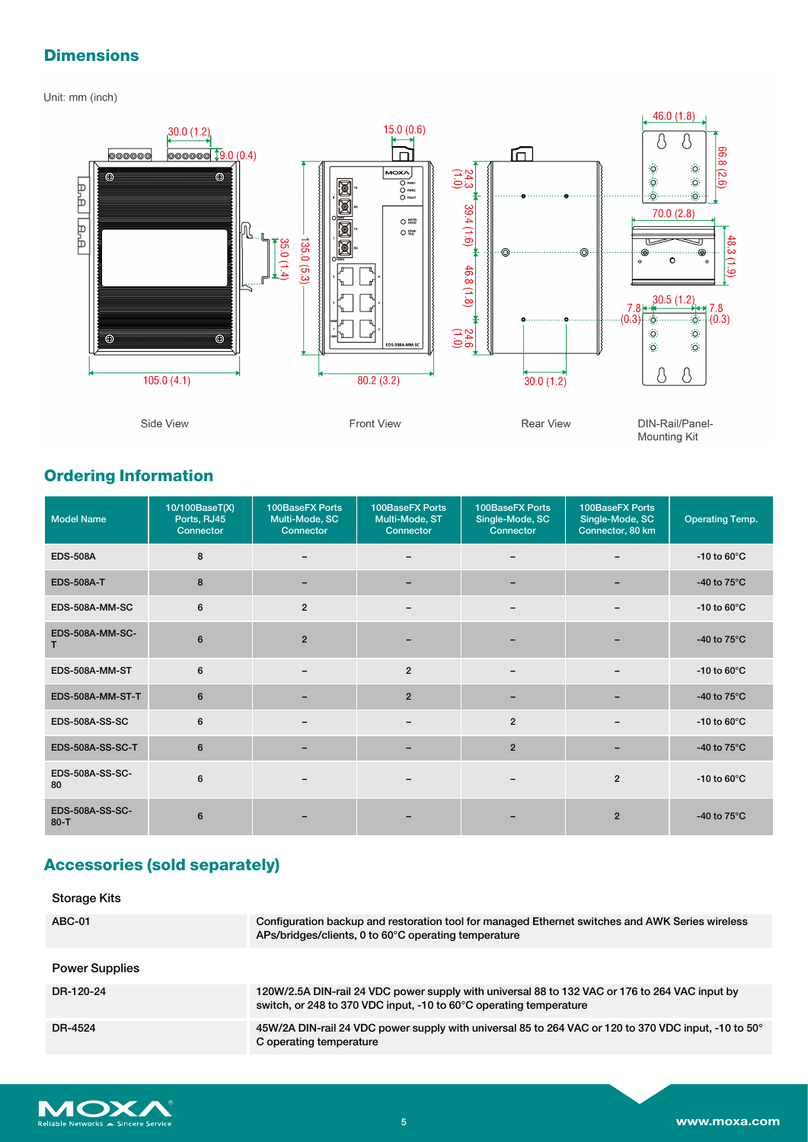## **Dimensions**

Unit: mm (inch)



# **Ordering Information**

| <b>Model Name</b>           | 10/100BaseT(X)<br>Ports, RJ45<br>Connector | 100BaseFX Ports<br>Multi-Mode, SC<br>Connector | 100BaseFX Ports<br>Multi-Mode, ST<br>Connector | 100BaseFX Ports<br>Single-Mode, SC<br>Connector | 100BaseFX Ports<br>Single-Mode, SC<br>Connector, 80 km | <b>Operating Temp.</b> |
|-----------------------------|--------------------------------------------|------------------------------------------------|------------------------------------------------|-------------------------------------------------|--------------------------------------------------------|------------------------|
| <b>EDS-508A</b>             | 8                                          |                                                |                                                |                                                 |                                                        | -10 to $60^{\circ}$ C  |
| <b>EDS-508A-T</b>           | 8                                          |                                                | $\overline{\phantom{a}}$                       |                                                 |                                                        | -40 to $75^{\circ}$ C  |
| EDS-508A-MM-SC              | 6                                          | $\overline{2}$                                 | $\overline{\phantom{0}}$                       |                                                 |                                                        | -10 to $60^{\circ}$ C  |
| EDS-508A-MM-SC-<br>т        | 6                                          | $\overline{2}$                                 |                                                |                                                 |                                                        | -40 to $75^{\circ}$ C  |
| EDS-508A-MM-ST              | 6                                          |                                                | $\overline{2}$                                 | $\overline{\phantom{0}}$                        |                                                        | -10 to $60^{\circ}$ C  |
| EDS-508A-MM-ST-T            | 6                                          |                                                | $\overline{2}$                                 |                                                 |                                                        | -40 to $75^{\circ}$ C  |
| <b>EDS-508A-SS-SC</b>       | 6                                          |                                                | -                                              | $\overline{2}$                                  |                                                        | -10 to $60^{\circ}$ C  |
| <b>EDS-508A-SS-SC-T</b>     | 6                                          |                                                |                                                | $\overline{2}$                                  |                                                        | -40 to $75^{\circ}$ C  |
| EDS-508A-SS-SC-<br>80       | 6                                          |                                                |                                                |                                                 | $\overline{2}$                                         | -10 to $60^{\circ}$ C  |
| EDS-508A-SS-SC-<br>$80 - T$ | 6                                          |                                                |                                                |                                                 | $\overline{2}$                                         | -40 to $75^{\circ}$ C  |

# **Accessories (sold separately)**

| Storage Kits          |                                                                                                                                                                      |
|-----------------------|----------------------------------------------------------------------------------------------------------------------------------------------------------------------|
| <b>ABC-01</b>         | Configuration backup and restoration tool for managed Ethernet switches and AWK Series wireless<br>APs/bridges/clients, 0 to 60°C operating temperature              |
| <b>Power Supplies</b> |                                                                                                                                                                      |
| DR-120-24             | 120W/2.5A DIN-rail 24 VDC power supply with universal 88 to 132 VAC or 176 to 264 VAC input by<br>switch, or 248 to 370 VDC input, -10 to 60°C operating temperature |
| DR-4524               | 45W/2A DIN-rail 24 VDC power supply with universal 85 to 264 VAC or 120 to 370 VDC input, -10 to 50°<br>C operating temperature                                      |